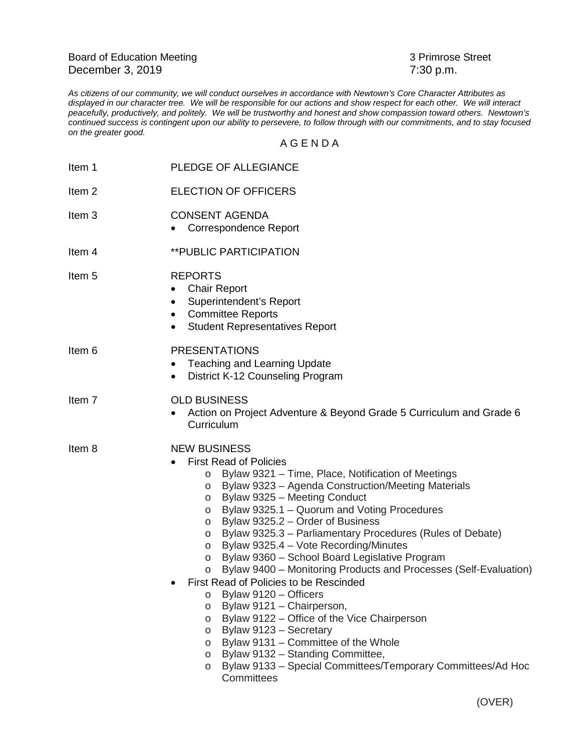Board of Education Meeting 3 Primrose Street December 3, 2019 7:30 p.m.

*As citizens of our community, we will conduct ourselves in accordance with Newtown's Core Character Attributes as displayed in our character tree. We will be responsible for our actions and show respect for each other. We will interact peacefully, productively, and politely. We will be trustworthy and honest and show compassion toward others. Newtown's continued success is contingent upon our ability to persevere, to follow through with our commitments, and to stay focused on the greater good.*

## A G E N D A

| Item 1            | PLEDGE OF ALLEGIANCE                                                                                                                                                                                                                                                                                                                                                                                                                                                                                                                                                                                                                                                                                                                                                                                                                                                                                                                                                                        |
|-------------------|---------------------------------------------------------------------------------------------------------------------------------------------------------------------------------------------------------------------------------------------------------------------------------------------------------------------------------------------------------------------------------------------------------------------------------------------------------------------------------------------------------------------------------------------------------------------------------------------------------------------------------------------------------------------------------------------------------------------------------------------------------------------------------------------------------------------------------------------------------------------------------------------------------------------------------------------------------------------------------------------|
| Item 2            | <b>ELECTION OF OFFICERS</b>                                                                                                                                                                                                                                                                                                                                                                                                                                                                                                                                                                                                                                                                                                                                                                                                                                                                                                                                                                 |
| Item <sub>3</sub> | <b>CONSENT AGENDA</b><br><b>Correspondence Report</b>                                                                                                                                                                                                                                                                                                                                                                                                                                                                                                                                                                                                                                                                                                                                                                                                                                                                                                                                       |
| Item 4            | <b>**PUBLIC PARTICIPATION</b>                                                                                                                                                                                                                                                                                                                                                                                                                                                                                                                                                                                                                                                                                                                                                                                                                                                                                                                                                               |
| Item 5            | <b>REPORTS</b><br><b>Chair Report</b><br>Superintendent's Report<br><b>Committee Reports</b><br>$\bullet$<br><b>Student Representatives Report</b><br>$\bullet$                                                                                                                                                                                                                                                                                                                                                                                                                                                                                                                                                                                                                                                                                                                                                                                                                             |
| Item 6            | <b>PRESENTATIONS</b><br><b>Teaching and Learning Update</b><br>٠<br>District K-12 Counseling Program<br>$\bullet$                                                                                                                                                                                                                                                                                                                                                                                                                                                                                                                                                                                                                                                                                                                                                                                                                                                                           |
| Item <sub>7</sub> | <b>OLD BUSINESS</b><br>Action on Project Adventure & Beyond Grade 5 Curriculum and Grade 6<br>Curriculum                                                                                                                                                                                                                                                                                                                                                                                                                                                                                                                                                                                                                                                                                                                                                                                                                                                                                    |
| Item 8            | <b>NEW BUSINESS</b><br><b>First Read of Policies</b><br>Bylaw 9321 - Time, Place, Notification of Meetings<br>$\circ$<br>Bylaw 9323 - Agenda Construction/Meeting Materials<br>$\circ$<br>Bylaw 9325 - Meeting Conduct<br>$\circ$<br>Bylaw 9325.1 - Quorum and Voting Procedures<br>$\circ$<br>Bylaw 9325.2 – Order of Business<br>O<br>Bylaw 9325.3 – Parliamentary Procedures (Rules of Debate)<br>$\circ$<br>Bylaw 9325.4 - Vote Recording/Minutes<br>O<br>Bylaw 9360 - School Board Legislative Program<br>O<br>Bylaw 9400 - Monitoring Products and Processes (Self-Evaluation)<br>O<br>First Read of Policies to be Rescinded<br>Bylaw 9120 - Officers<br>$\circ$<br>Bylaw 9121 - Chairperson,<br>$\circ$<br>Bylaw 9122 - Office of the Vice Chairperson<br>$\circ$<br>Bylaw 9123 - Secretary<br>O<br>Bylaw 9131 - Committee of the Whole<br>$\circ$<br>Bylaw 9132 - Standing Committee,<br>O<br>Bylaw 9133 - Special Committees/Temporary Committees/Ad Hoc<br>$\circ$<br>Committees |